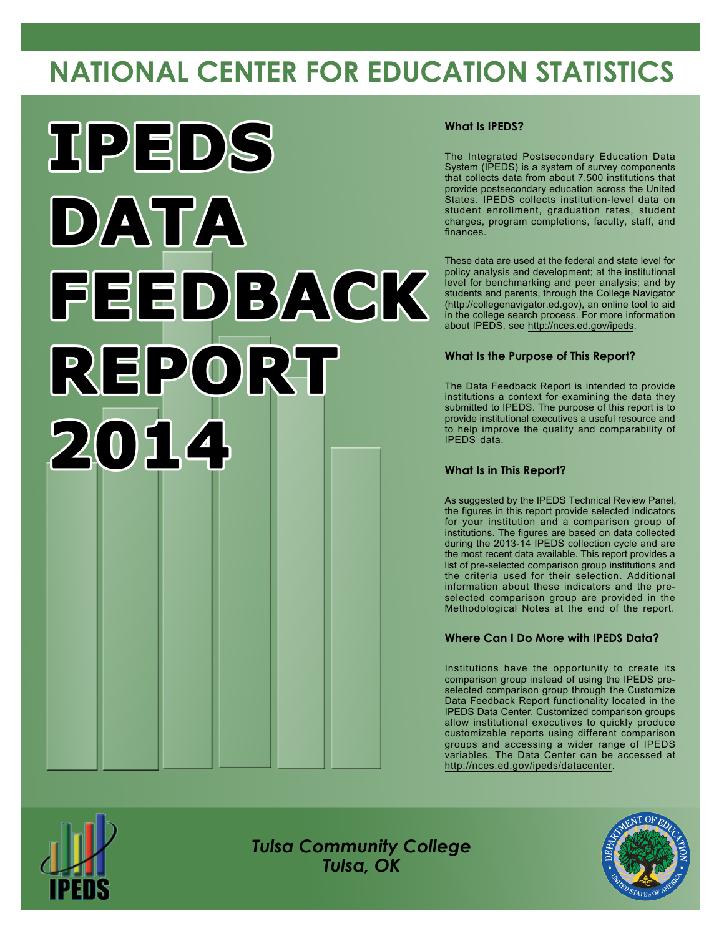# **NATIONAL CENTER FOR EDUCATION STATISTICS**



### **What Is IPEDS?**

The Integrated Postsecondary Education Data System (IPEDS) is a system of survey components that collects data from about 7,500 institutions that provide postsecondary education across the United States. IPEDS collects institution-level data on student enrollment, graduation rates, student charges, program completions, faculty, staff, and finances.

These data are used at the federal and state level for policy analysis and development; at the institutional level for benchmarking and peer analysis; and by students and parents, through the College Navigator [\(http://collegenavigator.ed.gov](http://collegenavigator.ed.gov)), an online tool to aid in the college search process. For more information about IPEDS, see <http://nces.ed.gov/ipeds>.

### **What Is the Purpose of This Report?**

The Data Feedback Report is intended to provide institutions a context for examining the data they submitted to IPEDS. The purpose of this report is to provide institutional executives a useful resource and to help improve the quality and comparability of IPEDS data.

### **What Is in This Report?**

As suggested by the IPEDS Technical Review Panel, the figures in this report provide selected indicators for your institution and a comparison group of institutions. The figures are based on data collected during the 2013-14 IPEDS collection cycle and are the most recent data available. This report provides a list of pre-selected comparison group institutions and the criteria used for their selection. Additional information about these indicators and the preselected comparison group are provided in the Methodological Notes at the end of the report.

## **Where Can I Do More with IPEDS Data?**

Institutions have the opportunity to create its comparison group instead of using the IPEDS preselected comparison group through the Customize Data Feedback Report functionality located in the IPEDS Data Center. Customized comparison groups allow institutional executives to quickly produce customizable reports using different comparison groups and accessing a wider range of IPEDS variables. The Data Center can be accessed at <http://nces.ed.gov/ipeds/datacenter>.



*Tulsa Community College Tulsa, OK*

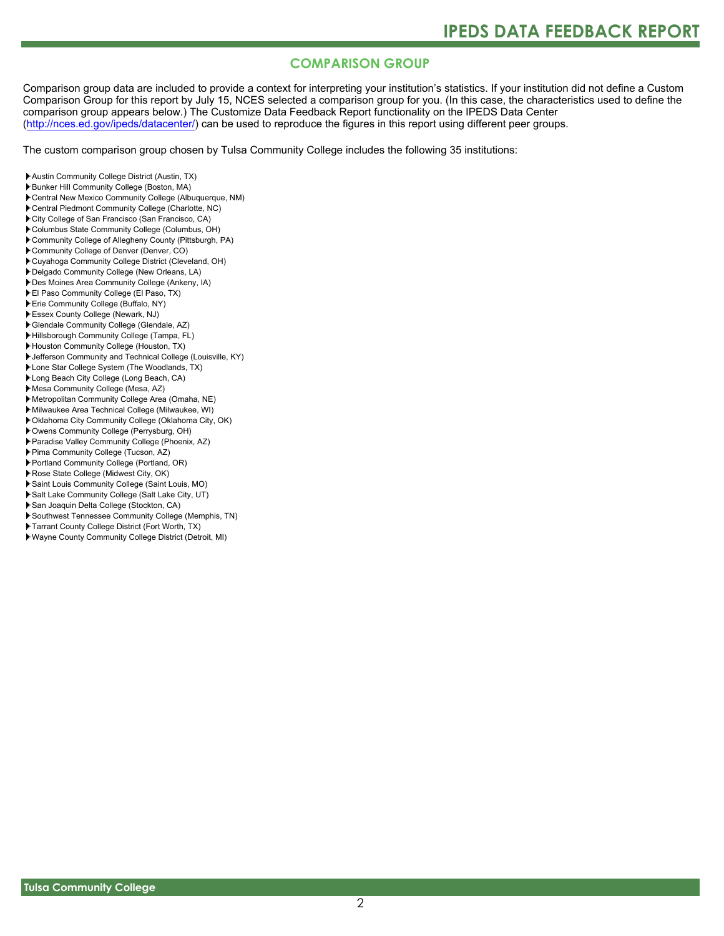# **COMPARISON GROUP**

Comparison group data are included to provide a context for interpreting your institution's statistics. If your institution did not define a Custom Comparison Group for this report by July 15, NCES selected a comparison group for you. (In this case, the characteristics used to define the comparison group appears below.) The Customize Data Feedback Report functionality on the IPEDS Data Center [\(http://nces.ed.gov/ipeds/datacenter/\)](http://nces.ed.gov/ipeds/datacenter/) can be used to reproduce the figures in this report using different peer groups.

The custom comparison group chosen by Tulsa Community College includes the following 35 institutions:

- Austin Community College District (Austin, TX)
- Bunker Hill Community College (Boston, MA)
- Central New Mexico Community College (Albuquerque, NM)
- Central Piedmont Community College (Charlotte, NC)
- City College of San Francisco (San Francisco, CA)
- Columbus State Community College (Columbus, OH)
- Community College of Allegheny County (Pittsburgh, PA)
- Community College of Denver (Denver, CO)
- Cuyahoga Community College District (Cleveland, OH)
- Delgado Community College (New Orleans, LA)
- Des Moines Area Community College (Ankeny, IA)
- El Paso Community College (El Paso, TX) Erie Community College (Buffalo, NY)
- Essex County College (Newark, NJ)
- Glendale Community College (Glendale, AZ)
- Hillsborough Community College (Tampa, FL)
- Houston Community College (Houston, TX)
- Jefferson Community and Technical College (Louisville, KY)
- Lone Star College System (The Woodlands, TX)
- Long Beach City College (Long Beach, CA)
- Mesa Community College (Mesa, AZ)
- Metropolitan Community College Area (Omaha, NE)
- Milwaukee Area Technical College (Milwaukee, WI)
- Oklahoma City Community College (Oklahoma City, OK)
- Owens Community College (Perrysburg, OH)
- Paradise Valley Community College (Phoenix, AZ)
- Pima Community College (Tucson, AZ)
- Portland Community College (Portland, OR)
- Rose State College (Midwest City, OK)
- Saint Louis Community College (Saint Louis, MO)
- Salt Lake Community College (Salt Lake City, UT)
- San Joaquin Delta College (Stockton, CA)
- Southwest Tennessee Community College (Memphis, TN)
- Tarrant County College District (Fort Worth, TX)
- Wayne County Community College District (Detroit, MI)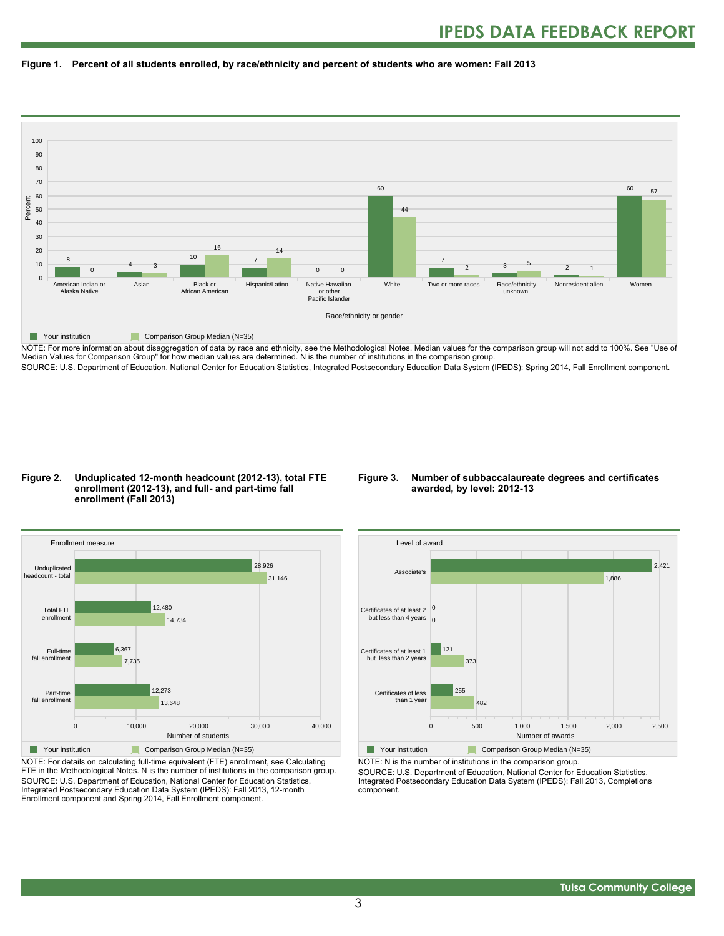



NOTE: For more information about disaggregation of data by race and ethnicity, see the Methodological Notes. Median values for the comparison group will not add to 100%. See "Use of Median Values for Comparison Group" for how median values are determined. N is the number of institutions in the comparison group. SOURCE: U.S. Department of Education, National Center for Education Statistics, Integrated Postsecondary Education Data System (IPEDS): Spring 2014, Fall Enrollment component.

#### **Figure 2. Unduplicated 12-month headcount (2012-13), total FTE enrollment (2012-13), and full- and part-time fall enrollment (Fall 2013)**

#### **Figure 3. Number of subbaccalaureate degrees and certificates awarded, by level: 2012-13**



NOTE: For details on calculating full-time equivalent (FTE) enrollment, see Calculating FTE in the Methodological Notes. N is the number of institutions in the comparison group. SOURCE: U.S. Department of Education, National Center for Education Statistics, Integrated Postsecondary Education Data System (IPEDS): Fall 2013, 12-month Enrollment component and Spring 2014, Fall Enrollment component.



**The Your institution Comparison Group Median (N=35)** NOTE: N is the number of institutions in the comparison group.

SOURCE: U.S. Department of Education, National Center for Education Statistics, Integrated Postsecondary Education Data System (IPEDS): Fall 2013, Completions component.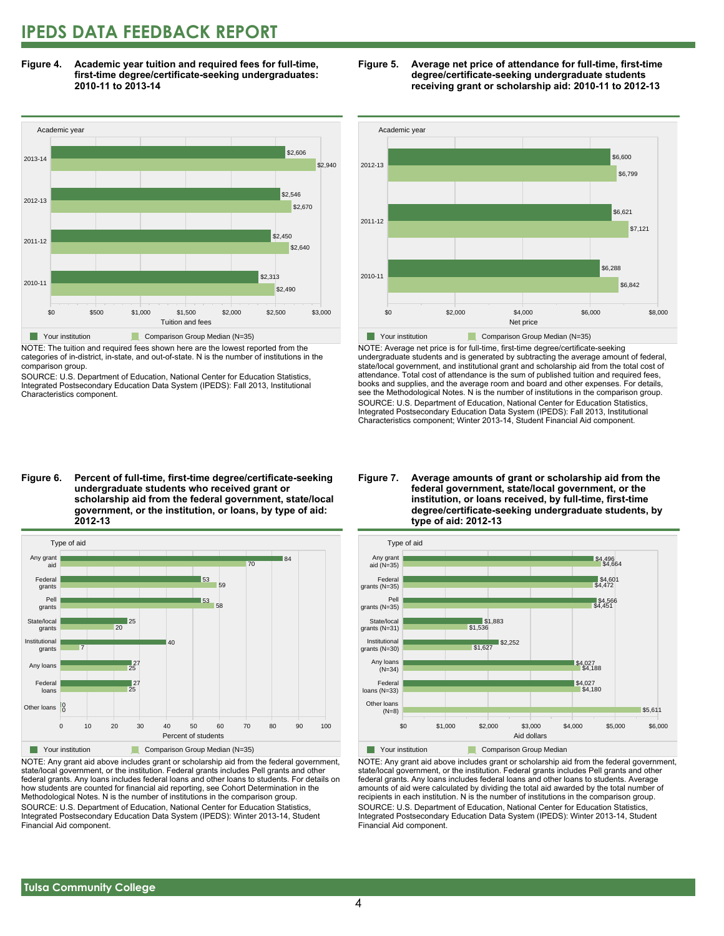# **IPEDS DATA FEEDBACK REPORT**

**Figure 4. Academic year tuition and required fees for full-time, first-time degree/certificate-seeking undergraduates: 2010-11 to 2013-14**



NOTE: The tuition and required fees shown here are the lowest reported from the categories of in-district, in-state, and out-of-state. N is the number of institutions in the comparison group.

SOURCE: U.S. Department of Education, National Center for Education Statistics, Integrated Postsecondary Education Data System (IPEDS): Fall 2013, Institutional Characteristics component.





NOTE: Average net price is for full-time, first-time degree/certificate-seeking undergraduate students and is generated by subtracting the average amount of federal, state/local government, and institutional grant and scholarship aid from the total cost of attendance. Total cost of attendance is the sum of published tuition and required fees, books and supplies, and the average room and board and other expenses. For details, see the Methodological Notes. N is the number of institutions in the comparison group. SOURCE: U.S. Department of Education, National Center for Education Statistics, Integrated Postsecondary Education Data System (IPEDS): Fall 2013, Institutional Characteristics component; Winter 2013-14, Student Financial Aid component.

**Figure 6. Percent of full-time, first-time degree/certificate-seeking undergraduate students who received grant or scholarship aid from the federal government, state/local government, or the institution, or loans, by type of aid: 2012-13**



NOTE: Any grant aid above includes grant or scholarship aid from the federal government, state/local government, or the institution. Federal grants includes Pell grants and other federal grants. Any loans includes federal loans and other loans to students. For details on how students are counted for financial aid reporting, see Cohort Determination in the Methodological Notes. N is the number of institutions in the comparison group. SOURCE: U.S. Department of Education, National Center for Education Statistics, Integrated Postsecondary Education Data System (IPEDS): Winter 2013-14, Student Financial Aid component.

#### **Figure 7. Average amounts of grant or scholarship aid from the federal government, state/local government, or the institution, or loans received, by full-time, first-time degree/certificate-seeking undergraduate students, by type of aid: 2012-13**



NOTE: Any grant aid above includes grant or scholarship aid from the federal government, state/local government, or the institution. Federal grants includes Pell grants and other federal grants. Any loans includes federal loans and other loans to students. Average amounts of aid were calculated by dividing the total aid awarded by the total number of recipients in each institution. N is the number of institutions in the comparison group. SOURCE: U.S. Department of Education, National Center for Education Statistics, Integrated Postsecondary Education Data System (IPEDS): Winter 2013-14, Student Financial Aid component.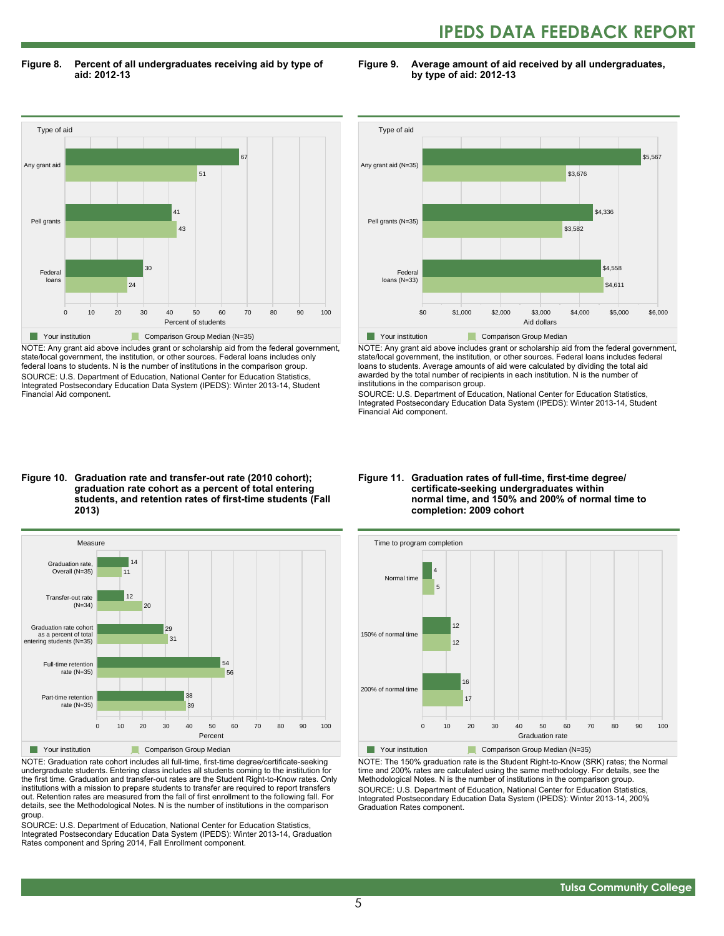# **IPEDS DATA FEEDBACK REPORT**

**Figure 8. Percent of all undergraduates receiving aid by type of aid: 2012-13**

**Figure 9. Average amount of aid received by all undergraduates, by type of aid: 2012-13**



NOTE: Any grant aid above includes grant or scholarship aid from the federal government, state/local government, the institution, or other sources. Federal loans includes only federal loans to students. N is the number of institutions in the comparison group. SOURCE: U.S. Department of Education, National Center for Education Statistics, Integrated Postsecondary Education Data System (IPEDS): Winter 2013-14, Student Financial Aid component.



NOTE: Any grant aid above includes grant or scholarship aid from the federal government, state/local government, the institution, or other sources. Federal loans includes federal loans to students. Average amounts of aid were calculated by dividing the total aid awarded by the total number of recipients in each institution. N is the number of institutions in the comparison group.

SOURCE: U.S. Department of Education, National Center for Education Statistics, Integrated Postsecondary Education Data System (IPEDS): Winter 2013-14, Student Financial Aid component.

#### **Figure 10. Graduation rate and transfer-out rate (2010 cohort); graduation rate cohort as a percent of total entering students, and retention rates of first-time students (Fall 2013)**



NOTE: Graduation rate cohort includes all full-time, first-time degree/certificate-seeking undergraduate students. Entering class includes all students coming to the institution for the first time. Graduation and transfer-out rates are the Student Right-to-Know rates. Only institutions with a mission to prepare students to transfer are required to report transfers out. Retention rates are measured from the fall of first enrollment to the following fall. For details, see the Methodological Notes. N is the number of institutions in the comparison group.

SOURCE: U.S. Department of Education, National Center for Education Statistics, Integrated Postsecondary Education Data System (IPEDS): Winter 2013-14, Graduation Rates component and Spring 2014, Fall Enrollment component.

#### **Figure 11. Graduation rates of full-time, first-time degree/ certificate-seeking undergraduates within normal time, and 150% and 200% of normal time to completion: 2009 cohort**



NOTE: The 150% graduation rate is the Student Right-to-Know (SRK) rates; the Normal time and 200% rates are calculated using the same methodology. For details, see the Methodological Notes. N is the number of institutions in the comparison group. SOURCE: U.S. Department of Education, National Center for Education Statistics, Integrated Postsecondary Education Data System (IPEDS): Winter 2013-14, 200% Graduation Rates component.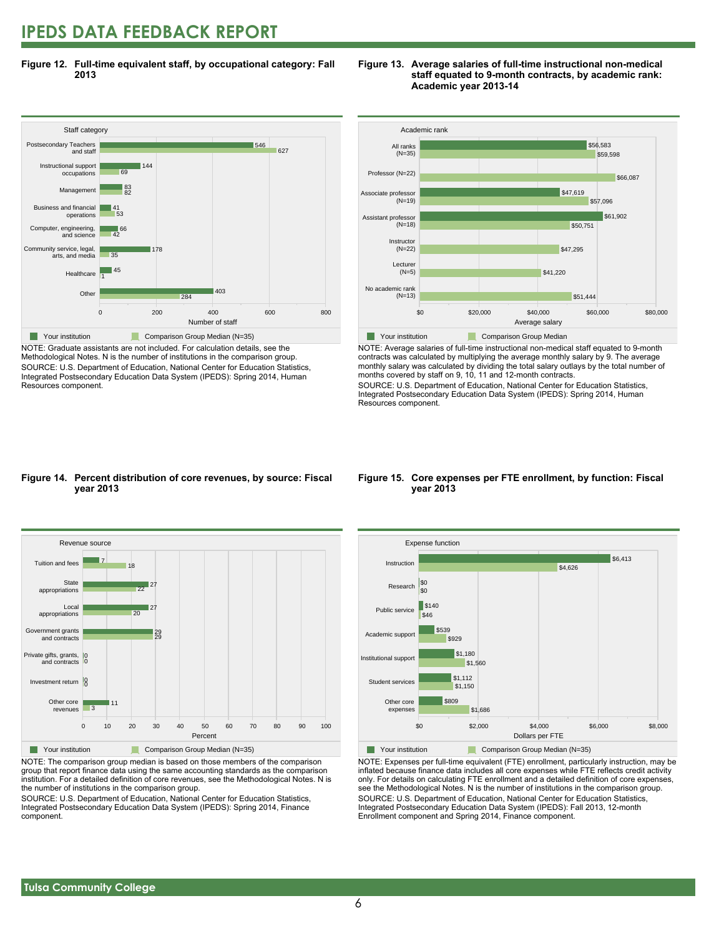# **IPEDS DATA FEEDBACK REPORT**

**Figure 12. Full-time equivalent staff, by occupational category: Fall 2013**



NOTE: Graduate assistants are not included. For calculation details, see the Methodological Notes. N is the number of institutions in the comparison group. SOURCE: U.S. Department of Education, National Center for Education Statistics, Integrated Postsecondary Education Data System (IPEDS): Spring 2014, Human Resources component.





NOTE: Average salaries of full-time instructional non-medical staff equated to 9-month contracts was calculated by multiplying the average monthly salary by 9. The average monthly salary was calculated by dividing the total salary outlays by the total number of months covered by staff on 9, 10, 11 and 12-month contracts.

SOURCE: U.S. Department of Education, National Center for Education Statistics, Integrated Postsecondary Education Data System (IPEDS): Spring 2014, Human Resources component.

#### **Figure 14. Percent distribution of core revenues, by source: Fiscal year 2013**



NOTE: The comparison group median is based on those members of the comparison group that report finance data using the same accounting standards as the comparison institution. For a detailed definition of core revenues, see the Methodological Notes. N is the number of institutions in the comparison group.

SOURCE: U.S. Department of Education, National Center for Education Statistics, Integrated Postsecondary Education Data System (IPEDS): Spring 2014, Finance component.

#### **Figure 15. Core expenses per FTE enrollment, by function: Fiscal year 2013**



NOTE: Expenses per full-time equivalent (FTE) enrollment, particularly instruction, may be inflated because finance data includes all core expenses while FTE reflects credit activity only. For details on calculating FTE enrollment and a detailed definition of core expenses, see the Methodological Notes. N is the number of institutions in the comparison group. SOURCE: U.S. Department of Education, National Center for Education Statistics, Integrated Postsecondary Education Data System (IPEDS): Fall 2013, 12-month Enrollment component and Spring 2014, Finance component.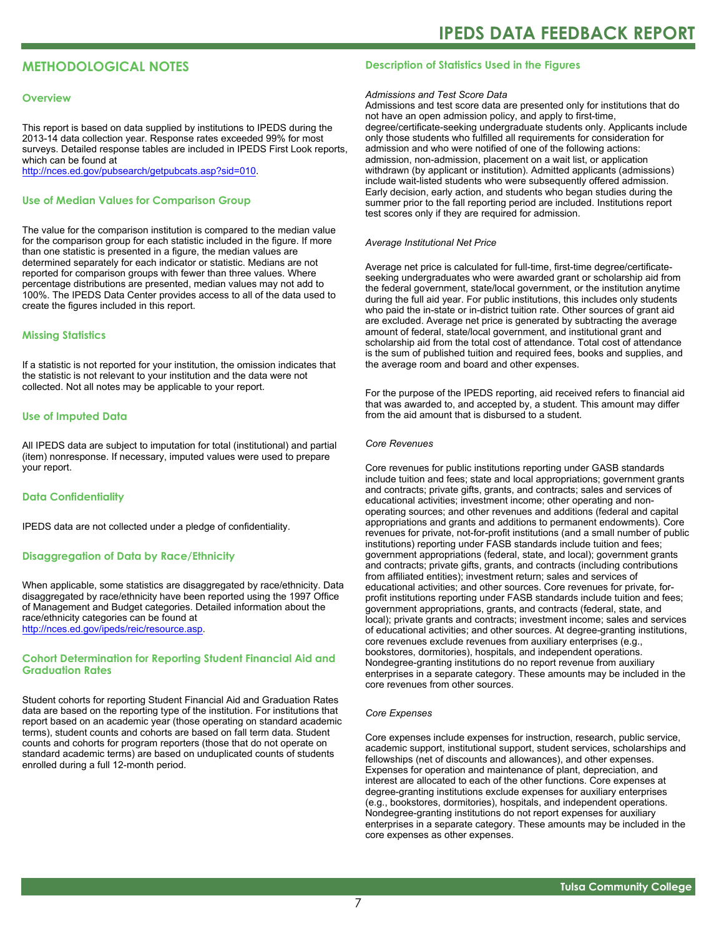# **METHODOLOGICAL NOTES**

#### **Overview**

This report is based on data supplied by institutions to IPEDS during the 2013-14 data collection year. Response rates exceeded 99% for most surveys. Detailed response tables are included in IPEDS First Look reports, which can be found at [http://nces.ed.gov/pubsearch/getpubcats.asp?sid=010.](http://nces.ed.gov/pubsearch/getpubcats.asp?sid=010)

#### **Use of Median Values for Comparison Group**

The value for the comparison institution is compared to the median value for the comparison group for each statistic included in the figure. If more than one statistic is presented in a figure, the median values are determined separately for each indicator or statistic. Medians are not reported for comparison groups with fewer than three values. Where percentage distributions are presented, median values may not add to 100%. The IPEDS Data Center provides access to all of the data used to create the figures included in this report.

#### **Missing Statistics**

If a statistic is not reported for your institution, the omission indicates that the statistic is not relevant to your institution and the data were not collected. Not all notes may be applicable to your report.

#### **Use of Imputed Data**

All IPEDS data are subject to imputation for total (institutional) and partial (item) nonresponse. If necessary, imputed values were used to prepare your report.

#### **Data Confidentiality**

IPEDS data are not collected under a pledge of confidentiality.

#### **Disaggregation of Data by Race/Ethnicity**

When applicable, some statistics are disaggregated by race/ethnicity. Data disaggregated by race/ethnicity have been reported using the 1997 Office of Management and Budget categories. Detailed information about the race/ethnicity categories can be found at <http://nces.ed.gov/ipeds/reic/resource.asp>.

#### **Cohort Determination for Reporting Student Financial Aid and Graduation Rates**

Student cohorts for reporting Student Financial Aid and Graduation Rates data are based on the reporting type of the institution. For institutions that report based on an academic year (those operating on standard academic terms), student counts and cohorts are based on fall term data. Student counts and cohorts for program reporters (those that do not operate on standard academic terms) are based on unduplicated counts of students enrolled during a full 12-month period.

#### **Description of Statistics Used in the Figures**

#### *Admissions and Test Score Data*

Admissions and test score data are presented only for institutions that do not have an open admission policy, and apply to first-time, degree/certificate-seeking undergraduate students only. Applicants include only those students who fulfilled all requirements for consideration for admission and who were notified of one of the following actions: admission, non-admission, placement on a wait list, or application withdrawn (by applicant or institution). Admitted applicants (admissions) include wait-listed students who were subsequently offered admission. Early decision, early action, and students who began studies during the summer prior to the fall reporting period are included. Institutions report test scores only if they are required for admission.

#### *Average Institutional Net Price*

Average net price is calculated for full-time, first-time degree/certificateseeking undergraduates who were awarded grant or scholarship aid from the federal government, state/local government, or the institution anytime during the full aid year. For public institutions, this includes only students who paid the in-state or in-district tuition rate. Other sources of grant aid are excluded. Average net price is generated by subtracting the average amount of federal, state/local government, and institutional grant and scholarship aid from the total cost of attendance. Total cost of attendance is the sum of published tuition and required fees, books and supplies, and the average room and board and other expenses.

For the purpose of the IPEDS reporting, aid received refers to financial aid that was awarded to, and accepted by, a student. This amount may differ from the aid amount that is disbursed to a student.

#### *Core Revenues*

Core revenues for public institutions reporting under GASB standards include tuition and fees; state and local appropriations; government grants and contracts; private gifts, grants, and contracts; sales and services of educational activities; investment income; other operating and nonoperating sources; and other revenues and additions (federal and capital appropriations and grants and additions to permanent endowments). Core revenues for private, not-for-profit institutions (and a small number of public institutions) reporting under FASB standards include tuition and fees; government appropriations (federal, state, and local); government grants and contracts; private gifts, grants, and contracts (including contributions from affiliated entities); investment return; sales and services of educational activities; and other sources. Core revenues for private, forprofit institutions reporting under FASB standards include tuition and fees; government appropriations, grants, and contracts (federal, state, and local); private grants and contracts; investment income; sales and services of educational activities; and other sources. At degree-granting institutions, core revenues exclude revenues from auxiliary enterprises (e.g., bookstores, dormitories), hospitals, and independent operations. Nondegree-granting institutions do no report revenue from auxiliary enterprises in a separate category. These amounts may be included in the core revenues from other sources.

#### *Core Expenses*

Core expenses include expenses for instruction, research, public service, academic support, institutional support, student services, scholarships and fellowships (net of discounts and allowances), and other expenses. Expenses for operation and maintenance of plant, depreciation, and interest are allocated to each of the other functions. Core expenses at degree-granting institutions exclude expenses for auxiliary enterprises (e.g., bookstores, dormitories), hospitals, and independent operations. Nondegree-granting institutions do not report expenses for auxiliary enterprises in a separate category. These amounts may be included in the core expenses as other expenses.